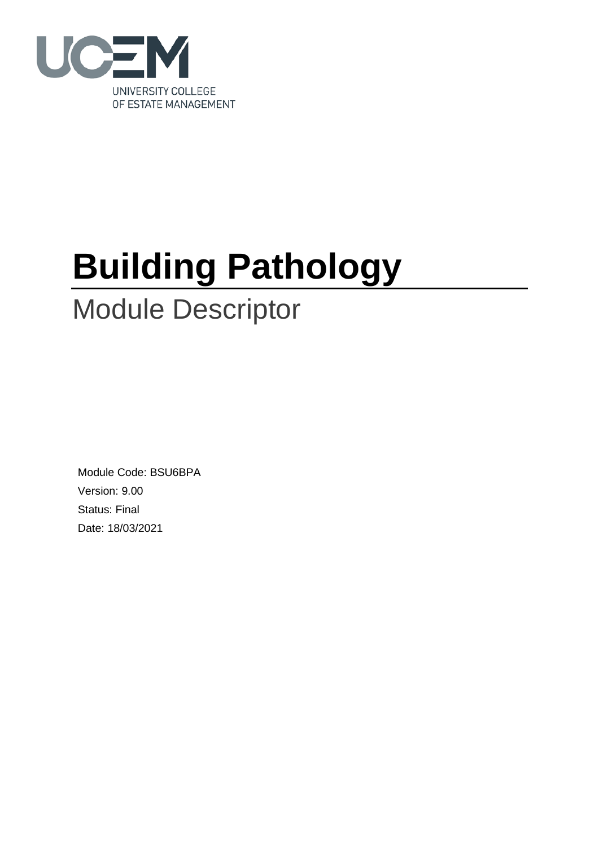

# **Building Pathology**

# Module Descriptor

Module Code: BSU6BPA Version: 9.00 Status: Final Date: 18/03/2021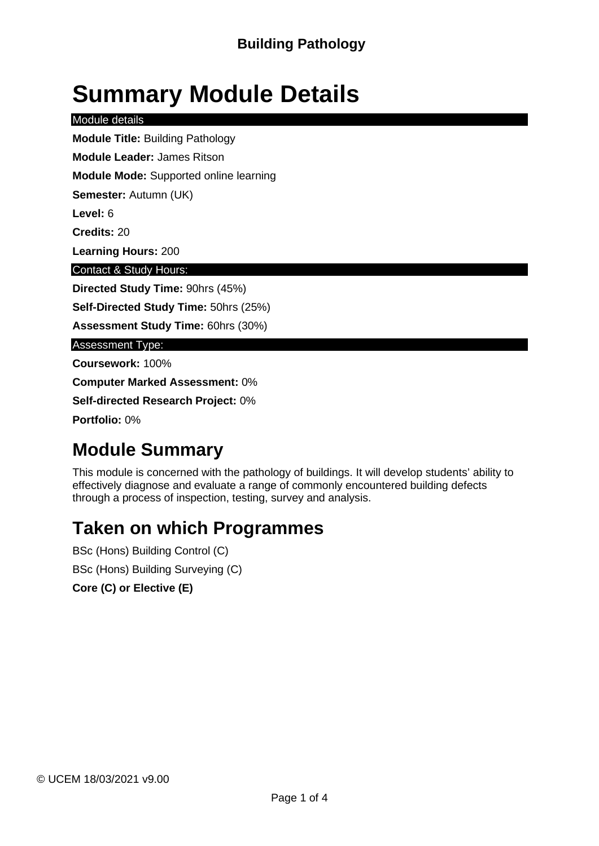# **Summary Module Details**

Module details

**Module Title:** Building Pathology

**Module Leader:** James Ritson

**Module Mode:** Supported online learning

**Semester:** Autumn (UK)

**Level:** 6

**Credits:** 20

**Learning Hours:** 200

Contact & Study Hours:

**Directed Study Time:** 90hrs (45%)

**Self-Directed Study Time:** 50hrs (25%)

**Assessment Study Time:** 60hrs (30%)

Assessment Type:

**Coursework:** 100%

**Computer Marked Assessment:** 0%

**Self-directed Research Project:** 0%

**Portfolio:** 0%

### **Module Summary**

This module is concerned with the pathology of buildings. It will develop students' ability to effectively diagnose and evaluate a range of commonly encountered building defects through a process of inspection, testing, survey and analysis.

### **Taken on which Programmes**

BSc (Hons) Building Control (C) BSc (Hons) Building Surveying (C)

**Core (C) or Elective (E)**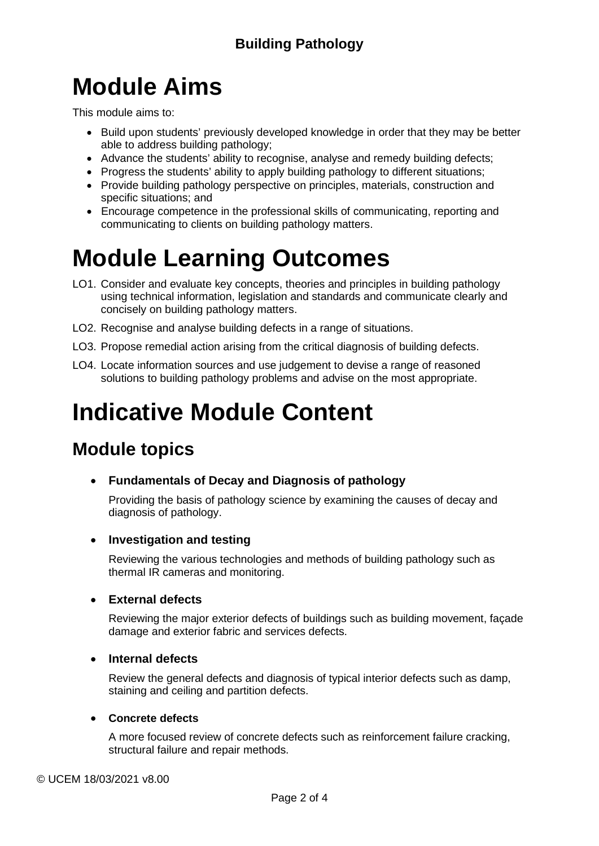# **Module Aims**

This module aims to:

- Build upon students' previously developed knowledge in order that they may be better able to address building pathology;
- Advance the students' ability to recognise, analyse and remedy building defects;
- Progress the students' ability to apply building pathology to different situations;
- Provide building pathology perspective on principles, materials, construction and specific situations; and
- Encourage competence in the professional skills of communicating, reporting and communicating to clients on building pathology matters.

# **Module Learning Outcomes**

- LO1. Consider and evaluate key concepts, theories and principles in building pathology using technical information, legislation and standards and communicate clearly and concisely on building pathology matters.
- LO2. Recognise and analyse building defects in a range of situations.
- LO3. Propose remedial action arising from the critical diagnosis of building defects.
- LO4. Locate information sources and use judgement to devise a range of reasoned solutions to building pathology problems and advise on the most appropriate.

# **Indicative Module Content**

### **Module topics**

• **Fundamentals of Decay and Diagnosis of pathology**

Providing the basis of pathology science by examining the causes of decay and diagnosis of pathology.

#### • **Investigation and testing**

Reviewing the various technologies and methods of building pathology such as thermal IR cameras and monitoring.

#### • **External defects**

Reviewing the major exterior defects of buildings such as building movement, façade damage and exterior fabric and services defects.

#### • **Internal defects**

Review the general defects and diagnosis of typical interior defects such as damp, staining and ceiling and partition defects.

#### • **Concrete defects**

A more focused review of concrete defects such as reinforcement failure cracking, structural failure and repair methods.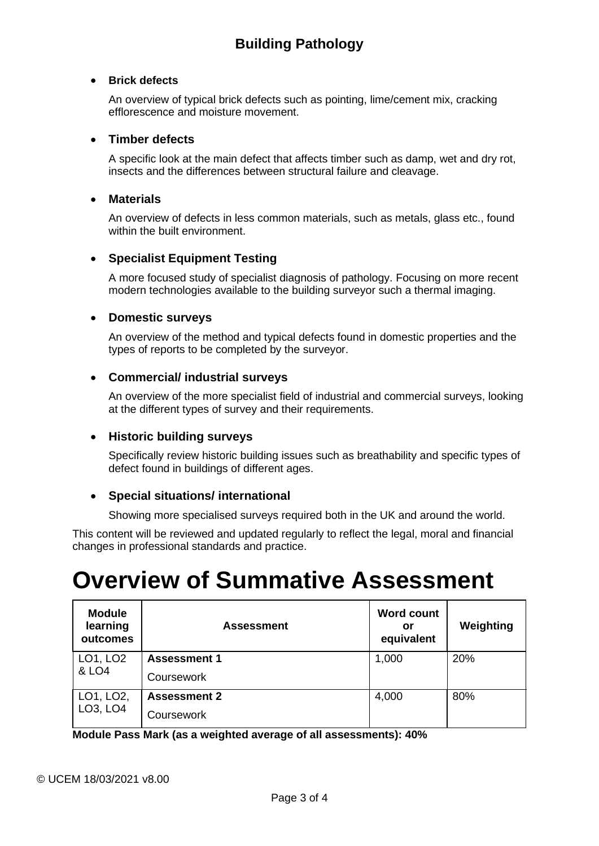#### • **Brick defects**

An overview of typical brick defects such as pointing, lime/cement mix, cracking efflorescence and moisture movement.

#### • **Timber defects**

A specific look at the main defect that affects timber such as damp, wet and dry rot, insects and the differences between structural failure and cleavage.

#### • **Materials**

An overview of defects in less common materials, such as metals, glass etc., found within the built environment.

#### • **Specialist Equipment Testing**

A more focused study of specialist diagnosis of pathology. Focusing on more recent modern technologies available to the building surveyor such a thermal imaging.

#### • **Domestic surveys**

An overview of the method and typical defects found in domestic properties and the types of reports to be completed by the surveyor.

#### • **Commercial/ industrial surveys**

An overview of the more specialist field of industrial and commercial surveys, looking at the different types of survey and their requirements.

#### • **Historic building surveys**

Specifically review historic building issues such as breathability and specific types of defect found in buildings of different ages.

#### • **Special situations/ international**

Showing more specialised surveys required both in the UK and around the world.

This content will be reviewed and updated regularly to reflect the legal, moral and financial changes in professional standards and practice.

## **Overview of Summative Assessment**

| <b>Module</b><br>learning<br>outcomes          | <b>Assessment</b>   | <b>Word count</b><br>or<br>equivalent | Weighting |
|------------------------------------------------|---------------------|---------------------------------------|-----------|
| LO1, LO2<br>& LO4                              | <b>Assessment 1</b> | 1,000                                 | 20%       |
|                                                | Coursework          |                                       |           |
| LO1, LO2,<br>LO <sub>3</sub> , LO <sub>4</sub> | <b>Assessment 2</b> | 4,000                                 | 80%       |
|                                                | Coursework          |                                       |           |

**Module Pass Mark (as a weighted average of all assessments): 40%**